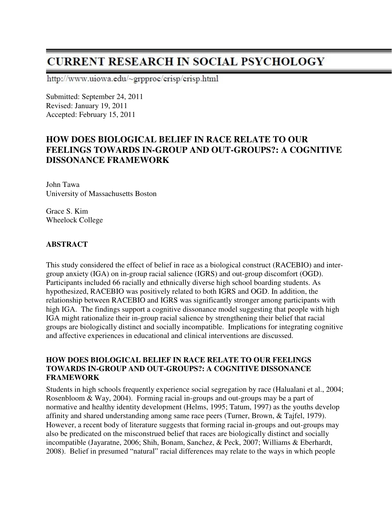# **CURRENT RESEARCH IN SOCIAL PSYCHOLOGY**

http://www.uiowa.edu/~grpproc/crisp/crisp.html

Submitted: September 24, 2011 Revised: January 19, 2011 Accepted: February 15, 2011

# **HOW DOES BIOLOGICAL BELIEF IN RACE RELATE TO OUR FEELINGS TOWARDS IN-GROUP AND OUT-GROUPS?: A COGNITIVE DISSONANCE FRAMEWORK**

John Tawa University of Massachusetts Boston

Grace S. Kim Wheelock College

# **ABSTRACT**

This study considered the effect of belief in race as a biological construct (RACEBIO) and intergroup anxiety (IGA) on in-group racial salience (IGRS) and out-group discomfort (OGD). Participants included 66 racially and ethnically diverse high school boarding students. As hypothesized, RACEBIO was positively related to both IGRS and OGD. In addition, the relationship between RACEBIO and IGRS was significantly stronger among participants with high IGA. The findings support a cognitive dissonance model suggesting that people with high IGA might rationalize their in-group racial salience by strengthening their belief that racial groups are biologically distinct and socially incompatible. Implications for integrating cognitive and affective experiences in educational and clinical interventions are discussed.

#### **HOW DOES BIOLOGICAL BELIEF IN RACE RELATE TO OUR FEELINGS TOWARDS IN-GROUP AND OUT-GROUPS?: A COGNITIVE DISSONANCE FRAMEWORK**

Students in high schools frequently experience social segregation by race (Halualani et al., 2004; Rosenbloom & Way, 2004). Forming racial in-groups and out-groups may be a part of normative and healthy identity development (Helms, 1995; Tatum, 1997) as the youths develop affinity and shared understanding among same race peers (Turner, Brown, & Tajfel, 1979). However, a recent body of literature suggests that forming racial in-groups and out-groups may also be predicated on the misconstrued belief that races are biologically distinct and socially incompatible (Jayaratne, 2006; Shih, Bonam, Sanchez, & Peck, 2007; Williams & Eberhardt, 2008). Belief in presumed "natural" racial differences may relate to the ways in which people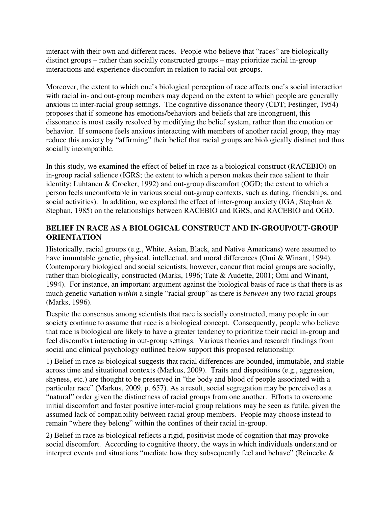interact with their own and different races. People who believe that "races" are biologically distinct groups – rather than socially constructed groups – may prioritize racial in-group interactions and experience discomfort in relation to racial out-groups.

Moreover, the extent to which one's biological perception of race affects one's social interaction with racial in- and out-group members may depend on the extent to which people are generally anxious in inter-racial group settings. The cognitive dissonance theory (CDT; Festinger, 1954) proposes that if someone has emotions/behaviors and beliefs that are incongruent, this dissonance is most easily resolved by modifying the belief system, rather than the emotion or behavior. If someone feels anxious interacting with members of another racial group, they may reduce this anxiety by "affirming" their belief that racial groups are biologically distinct and thus socially incompatible.

In this study, we examined the effect of belief in race as a biological construct (RACEBIO) on in-group racial salience (IGRS; the extent to which a person makes their race salient to their identity; Luhtanen & Crocker, 1992) and out-group discomfort (OGD; the extent to which a person feels uncomfortable in various social out-group contexts, such as dating, friendships, and social activities). In addition, we explored the effect of inter-group anxiety (IGA; Stephan & Stephan, 1985) on the relationships between RACEBIO and IGRS, and RACEBIO and OGD.

# **BELIEF IN RACE AS A BIOLOGICAL CONSTRUCT AND IN-GROUP/OUT-GROUP ORIENTATION**

Historically, racial groups (e.g., White, Asian, Black, and Native Americans) were assumed to have immutable genetic, physical, intellectual, and moral differences (Omi & Winant, 1994). Contemporary biological and social scientists, however, concur that racial groups are socially, rather than biologically, constructed (Marks, 1996; Tate & Audette, 2001; Omi and Winant, 1994). For instance, an important argument against the biological basis of race is that there is as much genetic variation *within* a single "racial group" as there is *between* any two racial groups (Marks, 1996).

Despite the consensus among scientists that race is socially constructed, many people in our society continue to assume that race is a biological concept. Consequently, people who believe that race is biological are likely to have a greater tendency to prioritize their racial in-group and feel discomfort interacting in out-group settings. Various theories and research findings from social and clinical psychology outlined below support this proposed relationship:

1) Belief in race as biological suggests that racial differences are bounded, immutable, and stable across time and situational contexts (Markus, 2009). Traits and dispositions (e.g., aggression, shyness, etc.) are thought to be preserved in "the body and blood of people associated with a particular race" (Markus, 2009, p. 657). As a result, social segregation may be perceived as a "natural" order given the distinctness of racial groups from one another. Efforts to overcome initial discomfort and foster positive inter-racial group relations may be seen as futile, given the assumed lack of compatibility between racial group members. People may choose instead to remain "where they belong" within the confines of their racial in-group.

2) Belief in race as biological reflects a rigid, positivist mode of cognition that may provoke social discomfort. According to cognitive theory, the ways in which individuals understand or interpret events and situations "mediate how they subsequently feel and behave" (Reinecke &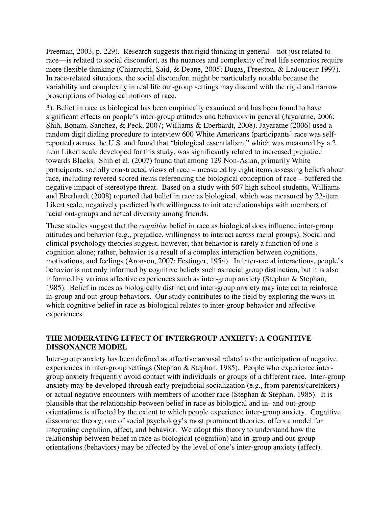Freeman, 2003, p. 229). Research suggests that rigid thinking in general—not just related to race—is related to social discomfort, as the nuances and complexity of real life scenarios require more flexible thinking (Chiarrochi, Said, & Deane, 2005; Dugas, Freeston, & Ladouceur 1997). In race-related situations, the social discomfort might be particularly notable because the variability and complexity in real life out-group settings may discord with the rigid and narrow proscriptions of biological notions of race.

3). Belief in race as biological has been empirically examined and has been found to have significant effects on people's inter-group attitudes and behaviors in general (Jayaratne, 2006; Shih, Bonam, Sanchez, & Peck, 2007; Williams & Eberhardt, 2008). Jayaratne (2006) used a random digit dialing procedure to interview 600 White Americans (participants' race was selfreported) across the U.S. and found that "biological essentialism," which was measured by a 2 item Likert scale developed for this study, was significantly related to increased prejudice towards Blacks. Shih et al. (2007) found that among 129 Non-Asian, primarily White participants, socially constructed views of race – measured by eight items assessing beliefs about race, including revered scored items referencing the biological conception of race – buffered the negative impact of stereotype threat. Based on a study with 507 high school students, Williams and Eberhardt (2008) reported that belief in race as biological, which was measured by 22-item Likert scale, negatively predicted both willingness to initiate relationships with members of racial out-groups and actual diversity among friends.

These studies suggest that the *cognitive* belief in race as biological does influence inter-group attitudes and behavior (e.g., prejudice, willingness to interact across racial groups). Social and clinical psychology theories suggest, however, that behavior is rarely a function of one's cognition alone; rather, behavior is a result of a complex interaction between cognitions, motivations, and feelings (Aronson, 2007; Festinger, 1954). In inter-racial interactions, people's behavior is not only informed by cognitive beliefs such as racial group distinction, but it is also informed by various affective experiences such as inter-group anxiety (Stephan & Stephan, 1985). Belief in races as biologically distinct and inter-group anxiety may interact to reinforce in-group and out-group behaviors. Our study contributes to the field by exploring the ways in which cognitive belief in race as biological relates to inter-group behavior and affective experiences.

# **THE MODERATING EFFECT OF INTERGROUP ANXIETY: A COGNITIVE DISSONANCE MODEL**

Inter-group anxiety has been defined as affective arousal related to the anticipation of negative experiences in inter-group settings (Stephan & Stephan, 1985). People who experience intergroup anxiety frequently avoid contact with individuals or groups of a different race. Inter-group anxiety may be developed through early prejudicial socialization (e.g., from parents/caretakers) or actual negative encounters with members of another race (Stephan & Stephan, 1985). It is plausible that the relationship between belief in race as biological and in- and out-group orientations is affected by the extent to which people experience inter-group anxiety. Cognitive dissonance theory, one of social psychology's most prominent theories, offers a model for integrating cognition, affect, and behavior. We adopt this theory to understand how the relationship between belief in race as biological (cognition) and in-group and out-group orientations (behaviors) may be affected by the level of one's inter-group anxiety (affect).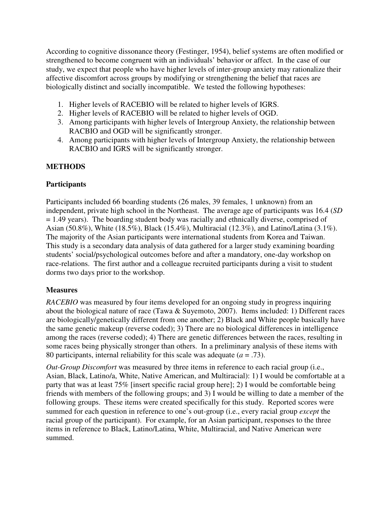According to cognitive dissonance theory (Festinger, 1954), belief systems are often modified or strengthened to become congruent with an individuals' behavior or affect. In the case of our study, we expect that people who have higher levels of inter-group anxiety may rationalize their affective discomfort across groups by modifying or strengthening the belief that races are biologically distinct and socially incompatible. We tested the following hypotheses:

- 1. Higher levels of RACEBIO will be related to higher levels of IGRS.
- 2. Higher levels of RACEBIO will be related to higher levels of OGD.
- 3. Among participants with higher levels of Intergroup Anxiety, the relationship between RACBIO and OGD will be significantly stronger.
- 4. Among participants with higher levels of Intergroup Anxiety, the relationship between RACBIO and IGRS will be significantly stronger.

# **METHODS**

# **Participants**

Participants included 66 boarding students (26 males, 39 females, 1 unknown) from an independent, private high school in the Northeast. The average age of participants was 16.4 (*SD* = 1.49 years). The boarding student body was racially and ethnically diverse, comprised of Asian (50.8%), White (18.5%), Black (15.4%), Multiracial (12.3%), and Latino/Latina (3.1%). The majority of the Asian participants were international students from Korea and Taiwan. This study is a secondary data analysis of data gathered for a larger study examining boarding students' social/psychological outcomes before and after a mandatory, one-day workshop on race-relations. The first author and a colleague recruited participants during a visit to student dorms two days prior to the workshop.

# **Measures**

*RACEBIO* was measured by four items developed for an ongoing study in progress inquiring about the biological nature of race (Tawa  $&$  Suyemoto, 2007). Items included: 1) Different races are biologically/genetically different from one another; 2) Black and White people basically have the same genetic makeup (reverse coded); 3) There are no biological differences in intelligence among the races (reverse coded); 4) There are genetic differences between the races, resulting in some races being physically stronger than others. In a preliminary analysis of these items with 80 participants, internal reliability for this scale was adequate  $(a = .73)$ .

*Out-Group Discomfort* was measured by three items in reference to each racial group (i.e., Asian, Black, Latino/a, White, Native American, and Multiracial): 1) I would be comfortable at a party that was at least 75% [insert specific racial group here]; 2) I would be comfortable being friends with members of the following groups; and 3) I would be willing to date a member of the following groups. These items were created specifically for this study. Reported scores were summed for each question in reference to one's out-group (i.e., every racial group *except* the racial group of the participant). For example, for an Asian participant, responses to the three items in reference to Black, Latino/Latina, White, Multiracial, and Native American were summed.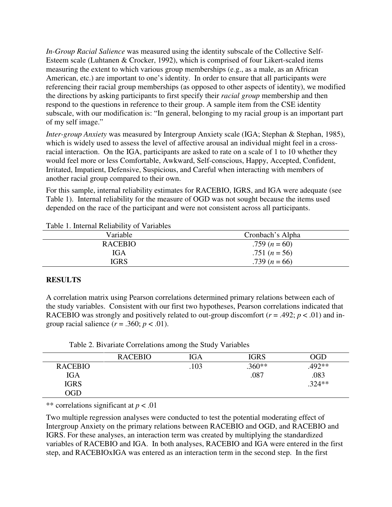*In-Group Racial Salience* was measured using the identity subscale of the Collective Self-Esteem scale (Luhtanen & Crocker, 1992), which is comprised of four Likert-scaled items measuring the extent to which various group memberships (e.g., as a male, as an African American, etc.) are important to one's identity. In order to ensure that all participants were referencing their racial group memberships (as opposed to other aspects of identity), we modified the directions by asking participants to first specify their *racial group* membership and then respond to the questions in reference to their group. A sample item from the CSE identity subscale, with our modification is: "In general, belonging to my racial group is an important part of my self image."

*Inter-group Anxiety* was measured by Intergroup Anxiety scale (IGA; Stephan & Stephan, 1985), which is widely used to assess the level of affective arousal an individual might feel in a crossracial interaction. On the IGA, participants are asked to rate on a scale of 1 to 10 whether they would feel more or less Comfortable, Awkward, Self-conscious, Happy, Accepted, Confident, Irritated, Impatient, Defensive, Suspicious, and Careful when interacting with members of another racial group compared to their own.

For this sample, internal reliability estimates for RACEBIO, IGRS, and IGA were adequate (see Table 1). Internal reliability for the measure of OGD was not sought because the items used depended on the race of the participant and were not consistent across all participants.

| Variable       | Cronbach's Alpha |
|----------------|------------------|
| <b>RACEBIO</b> | .759 $(n = 60)$  |
| IGA            | .751 $(n = 56)$  |
| <b>IGRS</b>    | .739 $(n = 66)$  |

Table 1. Internal Reliability of Variables

#### **RESULTS**

A correlation matrix using Pearson correlations determined primary relations between each of the study variables. Consistent with our first two hypotheses, Pearson correlations indicated that RACEBIO was strongly and positively related to out-group discomfort ( $r = .492$ ;  $p < .01$ ) and ingroup racial salience  $(r = .360; p < .01)$ .

| Table 2. Bivariate Correlations among the Study Variables |  |  |  |
|-----------------------------------------------------------|--|--|--|
|-----------------------------------------------------------|--|--|--|

|                | <b>RACEBIO</b> | IGA  | <b>IGRS</b> | ЭGD      |
|----------------|----------------|------|-------------|----------|
| <b>RACEBIO</b> |                | .103 | $.360**$    | .492**   |
| <b>IGA</b>     |                |      | .087        | .083     |
| <b>IGRS</b>    |                |      |             | $.324**$ |
| $\rm OGD$      |                |      |             |          |

\*\* correlations significant at *p* < .01

Two multiple regression analyses were conducted to test the potential moderating effect of Intergroup Anxiety on the primary relations between RACEBIO and OGD, and RACEBIO and IGRS. For these analyses, an interaction term was created by multiplying the standardized variables of RACEBIO and IGA. In both analyses, RACEBIO and IGA were entered in the first step, and RACEBIOxIGA was entered as an interaction term in the second step. In the first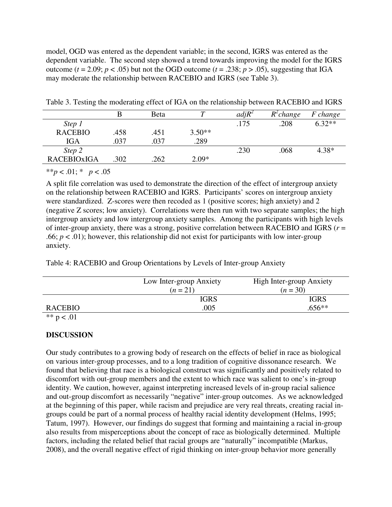model, OGD was entered as the dependent variable; in the second, IGRS was entered as the dependent variable. The second step showed a trend towards improving the model for the IGRS outcome ( $t = 2.09$ ;  $p < .05$ ) but not the OGD outcome ( $t = .238$ ;  $p > .05$ ), suggesting that IGA may moderate the relationship between RACEBIO and IGRS (see Table 3).

|                    |      | Beta |          | $adjR^2$ | $R^2$ change | F change |
|--------------------|------|------|----------|----------|--------------|----------|
| Step 1             |      |      |          | .175     | .208         | $6.32**$ |
| <b>RACEBIO</b>     | .458 | .451 | $3.50**$ |          |              |          |
| <b>IGA</b>         | .037 | .037 | .289     |          |              |          |
| Step 2             |      |      |          | .230     | .068         | $4.38*$  |
| <b>RACEBIOXIGA</b> | .302 | .262 | $2.09*$  |          |              |          |
|                    |      |      |          |          |              |          |

Table 3. Testing the moderating effect of IGA on the relationship between RACEBIO and IGRS

\*\**p* < .01; \* *p* < .05

A split file correlation was used to demonstrate the direction of the effect of intergroup anxiety on the relationship between RACEBIO and IGRS. Participants' scores on intergroup anxiety were standardized. Z-scores were then recoded as 1 (positive scores; high anxiety) and 2 (negative Z scores; low anxiety). Correlations were then run with two separate samples; the high intergroup anxiety and low intergroup anxiety samples. Among the participants with high levels of inter-group anxiety, there was a strong, positive correlation between RACEBIO and IGRS (*r* = .66;  $p < .01$ ); however, this relationship did not exist for participants with low inter-group anxiety.

Table 4: RACEBIO and Group Orientations by Levels of Inter-group Anxiety

|              | Low Inter-group Anxiety | High Inter-group Anxiety |  |  |
|--------------|-------------------------|--------------------------|--|--|
|              | $(n=21)$                | $(n = 30)$               |  |  |
|              | <b>IGRS</b>             | <b>IGRS</b>              |  |  |
| RACEBIO      | .005                    | $.656**$                 |  |  |
| ** $p < .01$ |                         |                          |  |  |

#### **DISCUSSION**

Our study contributes to a growing body of research on the effects of belief in race as biological on various inter-group processes, and to a long tradition of cognitive dissonance research. We found that believing that race is a biological construct was significantly and positively related to discomfort with out-group members and the extent to which race was salient to one's in-group identity. We caution, however, against interpreting increased levels of in-group racial salience and out-group discomfort as necessarily "negative" inter-group outcomes. As we acknowledged at the beginning of this paper, while racism and prejudice are very real threats, creating racial ingroups could be part of a normal process of healthy racial identity development (Helms, 1995; Tatum, 1997). However, our findings do suggest that forming and maintaining a racial in-group also results from misperceptions about the concept of race as biologically determined. Multiple factors, including the related belief that racial groups are "naturally" incompatible (Markus, 2008), and the overall negative effect of rigid thinking on inter-group behavior more generally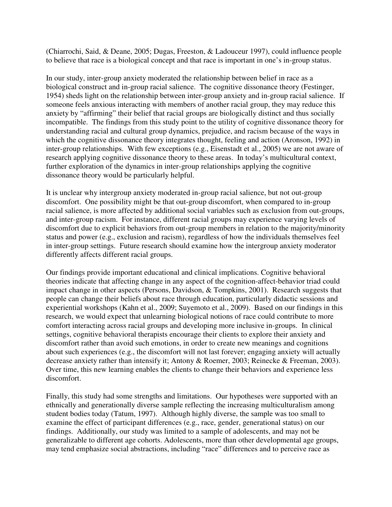(Chiarrochi, Said, & Deane, 2005; Dugas, Freeston, & Ladouceur 1997), could influence people to believe that race is a biological concept and that race is important in one's in-group status.

In our study, inter-group anxiety moderated the relationship between belief in race as a biological construct and in-group racial salience. The cognitive dissonance theory (Festinger, 1954) sheds light on the relationship between inter-group anxiety and in-group racial salience. If someone feels anxious interacting with members of another racial group, they may reduce this anxiety by "affirming" their belief that racial groups are biologically distinct and thus socially incompatible. The findings from this study point to the utility of cognitive dissonance theory for understanding racial and cultural group dynamics, prejudice, and racism because of the ways in which the cognitive dissonance theory integrates thought, feeling and action (Aronson, 1992) in inter-group relationships. With few exceptions (e.g., Eisenstadt et al., 2005) we are not aware of research applying cognitive dissonance theory to these areas. In today's multicultural context, further exploration of the dynamics in inter-group relationships applying the cognitive dissonance theory would be particularly helpful.

It is unclear why intergroup anxiety moderated in-group racial salience, but not out-group discomfort. One possibility might be that out-group discomfort, when compared to in-group racial salience, is more affected by additional social variables such as exclusion from out-groups, and inter-group racism. For instance, different racial groups may experience varying levels of discomfort due to explicit behaviors from out-group members in relation to the majority/minority status and power (e.g., exclusion and racism), regardless of how the individuals themselves feel in inter-group settings. Future research should examine how the intergroup anxiety moderator differently affects different racial groups.

Our findings provide important educational and clinical implications. Cognitive behavioral theories indicate that affecting change in any aspect of the cognition-affect-behavior triad could impact change in other aspects (Persons, Davidson, & Tompkins, 2001). Research suggests that people can change their beliefs about race through education, particularly didactic sessions and experiential workshops (Kahn et al., 2009; Suyemoto et al., 2009). Based on our findings in this research, we would expect that unlearning biological notions of race could contribute to more comfort interacting across racial groups and developing more inclusive in-groups. In clinical settings, cognitive behavioral therapists encourage their clients to explore their anxiety and discomfort rather than avoid such emotions, in order to create new meanings and cognitions about such experiences (e.g., the discomfort will not last forever; engaging anxiety will actually decrease anxiety rather than intensify it; Antony & Roemer, 2003; Reinecke & Freeman, 2003). Over time, this new learning enables the clients to change their behaviors and experience less discomfort.

Finally, this study had some strengths and limitations. Our hypotheses were supported with an ethnically and generationally diverse sample reflecting the increasing multiculturalism among student bodies today (Tatum, 1997). Although highly diverse, the sample was too small to examine the effect of participant differences (e.g., race, gender, generational status) on our findings. Additionally, our study was limited to a sample of adolescents, and may not be generalizable to different age cohorts. Adolescents, more than other developmental age groups, may tend emphasize social abstractions, including "race" differences and to perceive race as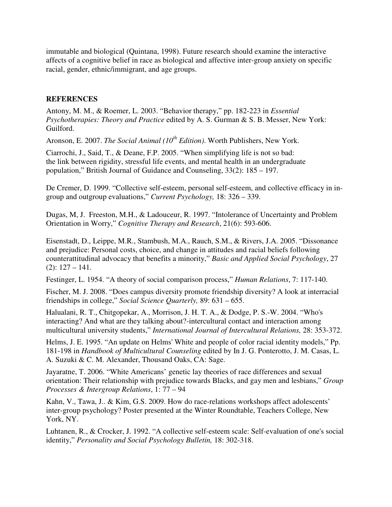immutable and biological (Quintana, 1998). Future research should examine the interactive affects of a cognitive belief in race as biological and affective inter-group anxiety on specific racial, gender, ethnic/immigrant, and age groups.

#### **REFERENCES**

Antony, M. M., & Roemer, L. 2003. "Behavior therapy," pp. 182-223 in *Essential Psychotherapies: Theory and Practice* edited by A. S. Gurman & S. B. Messer, New York: Guilford.

Aronson, E. 2007. *The Social Animal (10th Edition)*. Worth Publishers, New York.

Ciarrochi, J., Said, T., & Deane, F.P. 2005. "When simplifying life is not so bad: the link between rigidity, stressful life events, and mental health in an undergraduate population," British Journal of Guidance and Counseling, 33(2): 185 – 197.

De Cremer, D. 1999. "Collective self-esteem, personal self-esteem, and collective efficacy in ingroup and outgroup evaluations," *Current Psychology,* 18: 326 – 339.

Dugas, M, J. Freeston, M.H., & Ladouceur, R. 1997. "Intolerance of Uncertainty and Problem Orientation in Worry," *Cognitive Therapy and Research*, 21(6): 593-606.

Eisenstadt, D., Leippe, M.R., Stambush, M.A., Rauch, S.M., & Rivers, J.A. 2005. "Dissonance and prejudice: Personal costs, choice, and change in attitudes and racial beliefs following counterattitudinal advocacy that benefits a minority," *Basic and Applied Social Psychology*, 27  $(2): 127 - 141.$ 

Festinger, L. 1954. "A theory of social comparison process," *Human Relations*, 7: 117-140.

Fischer, M. J. 2008. "Does campus diversity promote friendship diversity? A look at interracial friendships in college," *Social Science Quarterly,* 89: 631 – 655.

Halualani, R. T., Chitgopekar, A., Morrison, J. H. T. A., & Dodge, P. S.-W. 2004. "Who's interacting? And what are they talking about?-intercultural contact and interaction among multicultural university students," *International Journal of Intercultural Relations,* 28: 353-372.

Helms, J. E. 1995. "An update on Helms' White and people of color racial identity models," Pp. 181-198 in *Handbook of Multicultural Counseling* edited by In J. G. Ponterotto, J. M. Casas, L. A. Suzuki & C. M. Alexander, Thousand Oaks, CA: Sage.

Jayaratne, T. 2006. "White Americans' genetic lay theories of race differences and sexual orientation: Their relationship with prejudice towards Blacks, and gay men and lesbians," *Group Processes & Intergroup Relations*, 1: 77 – 94

Kahn, V., Tawa, J.. & Kim, G.S. 2009. How do race-relations workshops affect adolescents' inter-group psychology? Poster presented at the Winter Roundtable, Teachers College, New York, NY.

Luhtanen, R., & Crocker, J. 1992. "A collective self-esteem scale: Self-evaluation of one's social identity," *Personality and Social Psychology Bulletin,* 18: 302-318.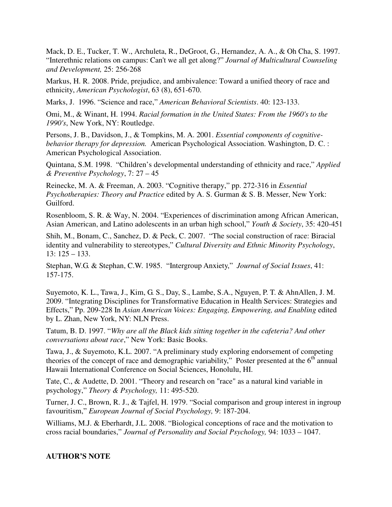Mack, D. E., Tucker, T. W., Archuleta, R., DeGroot, G., Hernandez, A. A., & Oh Cha, S. 1997. "Interethnic relations on campus: Can't we all get along?" *Journal of Multicultural Counseling and Development,* 25: 256-268

Markus, H. R. 2008. Pride, prejudice, and ambivalence: Toward a unified theory of race and ethnicity, *American Psychologist*, 63 (8), 651-670.

Marks, J. 1996. "Science and race," *American Behavioral Scientists*. 40: 123-133.

Omi, M., & Winant, H. 1994. *Racial formation in the United States: From the 1960's to the 1990's*, New York, NY: Routledge.

Persons, J. B., Davidson, J., & Tompkins, M. A. 2001. *Essential components of cognitivebehavior therapy for depression.* American Psychological Association. Washington, D. C. : American Psychological Association.

Quintana, S.M. 1998. "Children's developmental understanding of ethnicity and race," *Applied & Preventive Psychology*, 7: 27 – 45

Reinecke, M. A. & Freeman, A. 2003. "Cognitive therapy," pp. 272-316 in *Essential Psychotherapies: Theory and Practice* edited by A. S. Gurman & S. B. Messer, New York: Guilford.

Rosenbloom, S. R. & Way, N. 2004. "Experiences of discrimination among African American, Asian American, and Latino adolescents in an urban high school," *Youth & Society*, 35: 420-451

Shih, M., Bonam, C., Sanchez, D. & Peck, C. 2007. "The social construction of race: Biracial identity and vulnerability to stereotypes," *Cultural Diversity and Ethnic Minority Psychology*, 13: 125 – 133.

Stephan, W.G. & Stephan, C.W. 1985. "Intergroup Anxiety," *Journal of Social Issues*, 41: 157-175.

Suyemoto, K. L., Tawa, J., Kim, G. S., Day, S., Lambe, S.A., Nguyen, P. T. & AhnAllen, J. M. 2009. "Integrating Disciplines for Transformative Education in Health Services: Strategies and Effects," Pp. 209-228 In *Asian American Voices: Engaging, Empowering, and Enabling* edited by L. Zhan, New York, NY: NLN Press.

Tatum, B. D. 1997. "*Why are all the Black kids sitting together in the cafeteria? And other conversations about race*," New York: Basic Books.

Tawa, J., & Suyemoto, K.L. 2007. "A preliminary study exploring endorsement of competing theories of the concept of race and demographic variability," Poster presented at the  $6<sup>th</sup>$  annual Hawaii International Conference on Social Sciences, Honolulu, HI.

Tate, C., & Audette, D. 2001. "Theory and research on "race" as a natural kind variable in psychology," *Theory & Psychology,* 11: 495-520.

Turner, J. C., Brown, R. J., & Tajfel, H. 1979. "Social comparison and group interest in ingroup favouritism," *European Journal of Social Psychology,* 9: 187-204.

Williams, M.J. & Eberhardt, J.L. 2008. "Biological conceptions of race and the motivation to cross racial boundaries," *Journal of Personality and Social Psychology,* 94: 1033 – 1047.

#### **AUTHOR'S NOTE**